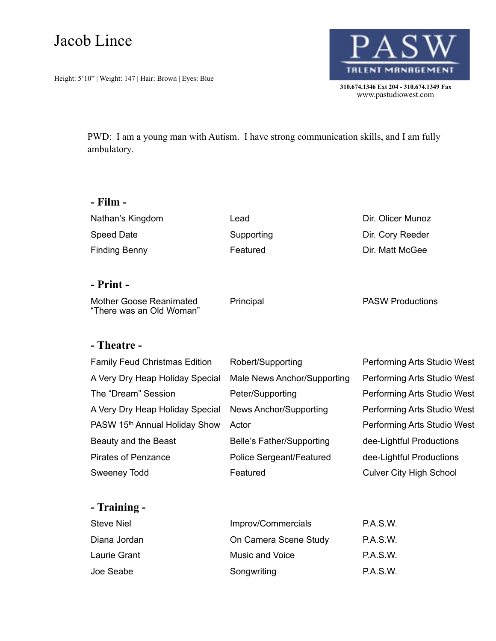# Jacob Lince

Height: 5'10" | Weight: 147 | Hair: Brown | Eyes: Blue



 **310.674.1346 Ext 204 - 310.674.1349 Fax**  www.pastudiowest.com

PWD: I am a young man with Autism. I have strong communication skills, and I am fully ambulatory.

#### **- Film -**

Nathan's Kingdom **Lead** Lead Dir. Olicer Munoz Speed Date **Supporting** Supporting **Supporting** Dir. Cory Reeder Finding Benny **Featured** Featured **Dir. Matt McGee** 

#### **- Print -**

Mother Goose Reanimated "There was an Old Woman" Principal Principal PASW Productions

### **- Theatre -**

| <b>Family Feud Christmas Edition</b> | Robert/Supporting           | Performing Arts Studio West    |
|--------------------------------------|-----------------------------|--------------------------------|
| A Very Dry Heap Holiday Special      | Male News Anchor/Supporting | Performing Arts Studio West    |
| The "Dream" Session                  | Peter/Supporting            | Performing Arts Studio West    |
| A Very Dry Heap Holiday Special      | News Anchor/Supporting      | Performing Arts Studio West    |
| PASW 15th Annual Holiday Show        | Actor                       | Performing Arts Studio West    |
| Beauty and the Beast                 | Belle's Father/Supporting   | dee-Lightful Productions       |
| <b>Pirates of Penzance</b>           | Police Sergeant/Featured    | dee-Lightful Productions       |
| <b>Sweeney Todd</b>                  | Featured                    | <b>Culver City High School</b> |

### **- Training -**

| Steve Niel   | Improv/Commercials    | P.A.S.W.        |
|--------------|-----------------------|-----------------|
| Diana Jordan | On Camera Scene Study | <b>P.A.S.W.</b> |
| Laurie Grant | Music and Voice       | <b>P.A.S.W.</b> |
| Joe Seabe    | Songwriting           | <b>P.A.S.W.</b> |